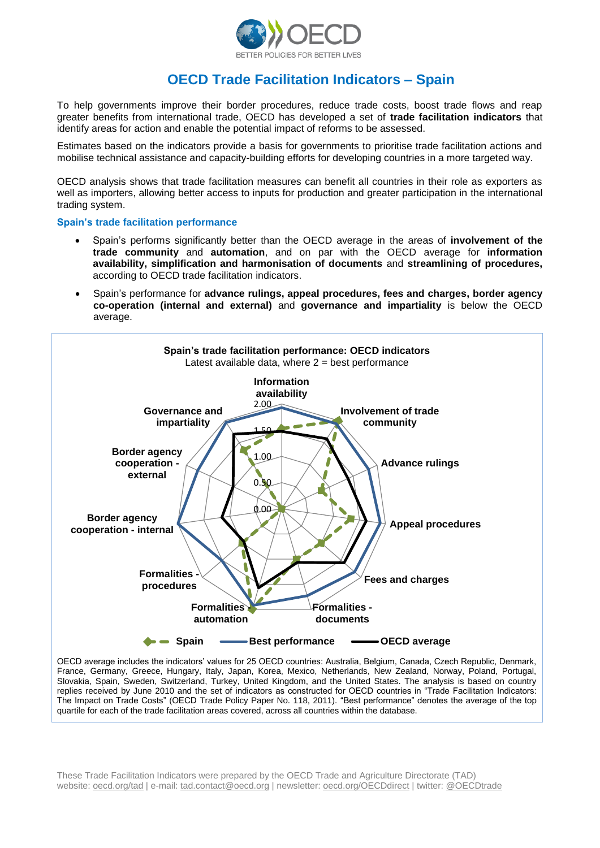

# **OECD Trade Facilitation Indicators – Spain**

To help governments improve their border procedures, reduce trade costs, boost trade flows and reap greater benefits from international trade, OECD has developed a set of **trade facilitation indicators** that identify areas for action and enable the potential impact of reforms to be assessed.

Estimates based on the indicators provide a basis for governments to prioritise trade facilitation actions and mobilise technical assistance and capacity-building efforts for developing countries in a more targeted way.

OECD analysis shows that trade facilitation measures can benefit all countries in their role as exporters as well as importers, allowing better access to inputs for production and greater participation in the international trading system.

**Spain's trade facilitation performance**

- Spain's performs significantly better than the OECD average in the areas of **involvement of the trade community** and **automation**, and on par with the OECD average for **information availability, simplification and harmonisation of documents** and **streamlining of procedures,**  according to OECD trade facilitation indicators.
- Spain's performance for **advance rulings, appeal procedures, fees and charges, border agency co-operation (internal and external)** and **governance and impartiality** is below the OECD average.



Slovakia, Spain, Sweden, Switzerland, Turkey, United Kingdom, and the United States. The analysis is based on country replies received by June 2010 and the set of indicators as constructed for OECD countries in "Trade Facilitation Indicators: The Impact on Trade Costs" (OECD Trade Policy Paper No. 118, 2011). "Best performance" denotes the average of the top quartile for each of the trade facilitation areas covered, across all countries within the database.

These Trade Facilitation Indicators were prepared by the OECD Trade and Agriculture Directorate (TAD) website: oecd.org/tad | e-mail: tad.contact@oecd.org | newsletter: oecd.org/OECDdirect | twitter: @OECDtrade